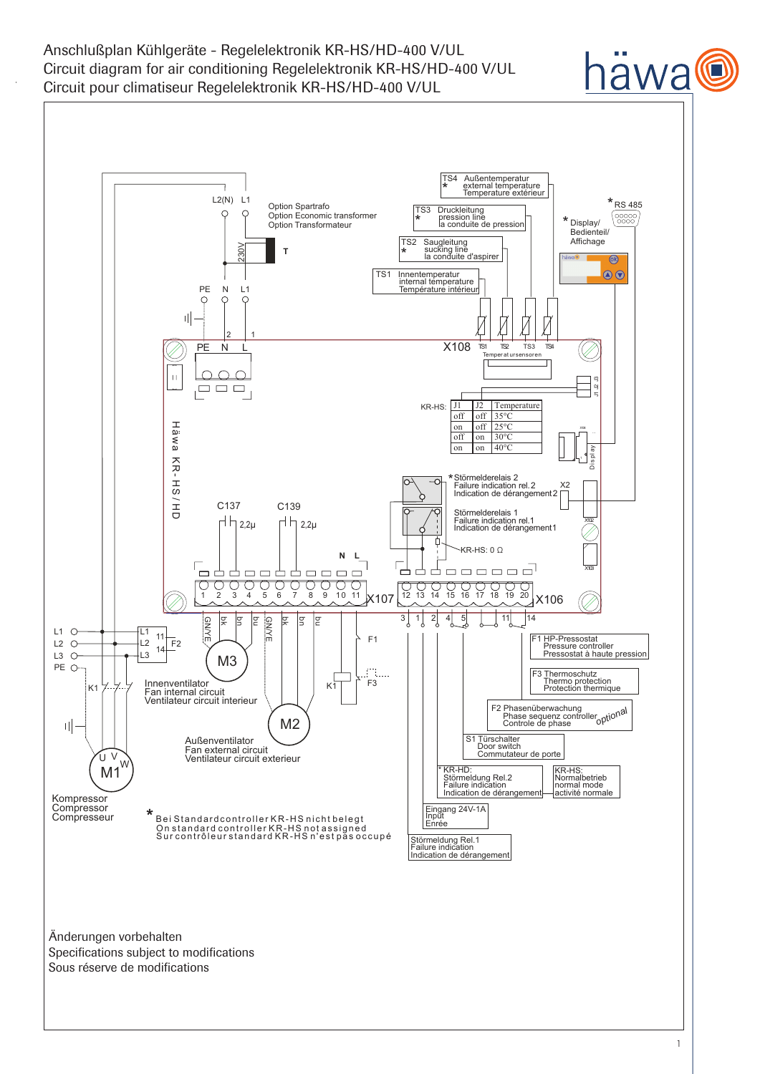Anschlußplan Kühlgeräte - Regelelektronik KR-HS/HD-400 V/UL Circuit diagram for air conditioning Regelelektronik KR-HS/HD-400 V/UL Circuit pour climatiseur Regelelektronik KR-HS/HD-400 V/UL



iawa